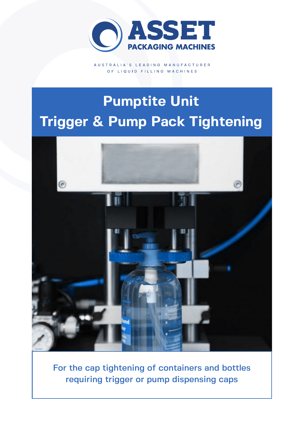

AUSTRALIA'S LEADING MANUFACTURER OF LIQUID FILLING MACHINES

# **Pumptite Unit Trigger & Pump Pack Tightening**



For the cap tightening of containers and bottles requiring trigger or pump dispensing caps